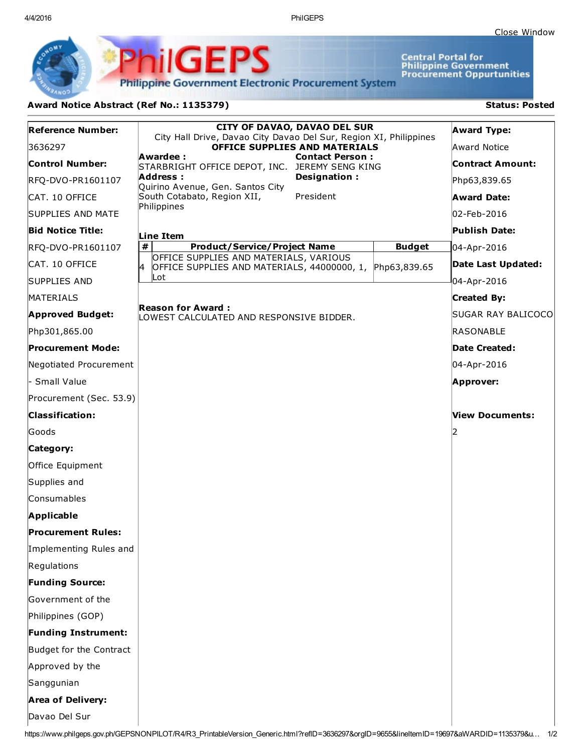4/4/2016 PhilGEPS

**Central Portal for<br>Philippine Government<br>Procurement Oppurtunities** 

**Philippine Government Electronic Procurement System** 

**PhilGEPS** 

## Award Notice Abstract (Ref No.: 1135379) Status: Posted

| <b>Reference Number:</b>   | <b>CITY OF DAVAO, DAVAO DEL SUR</b><br>City Hall Drive, Davao City Davao Del Sur, Region XI, Philippines<br>OFFICE SUPPLIES AND MATERIALS<br>Awardee:<br><b>Contact Person:</b><br>STARBRIGHT OFFICE DEPOT, INC. JEREMY SENG KING |               | <b>Award Type:</b>      |
|----------------------------|-----------------------------------------------------------------------------------------------------------------------------------------------------------------------------------------------------------------------------------|---------------|-------------------------|
| 3636297                    |                                                                                                                                                                                                                                   |               | Award Notice            |
| <b>Control Number:</b>     |                                                                                                                                                                                                                                   |               | <b>Contract Amount:</b> |
| RFQ-DVO-PR1601107          | Designation:<br>Address :<br>Quirino Avenue, Gen. Santos City                                                                                                                                                                     |               | Php63,839.65            |
| CAT. 10 OFFICE             | South Cotabato, Region XII,<br>President                                                                                                                                                                                          |               | <b>Award Date:</b>      |
| <b>SUPPLIES AND MATE</b>   | Philippines                                                                                                                                                                                                                       |               | 02-Feb-2016             |
| <b>Bid Notice Title:</b>   | Line Item                                                                                                                                                                                                                         |               | Publish Date:           |
| RFQ-DVO-PR1601107          | $\pmb{\#}$<br><b>Product/Service/Project Name</b>                                                                                                                                                                                 | <b>Budget</b> | 04-Apr-2016             |
| CAT. 10 OFFICE             | OFFICE SUPPLIES AND MATERIALS, VARIOUS<br>k.<br>OFFICE SUPPLIES AND MATERIALS, 44000000, 1, Php63,839.65                                                                                                                          |               | Date Last Updated:      |
| <b>SUPPLIES AND</b>        | Lot                                                                                                                                                                                                                               |               | 04-Apr-2016             |
| MATERIALS                  |                                                                                                                                                                                                                                   |               | <b>Created By:</b>      |
| <b>Approved Budget:</b>    | <b>Reason for Award:</b><br>LOWEST CALCULATED AND RESPONSIVE BIDDER.                                                                                                                                                              |               | SUGAR RAY BALICOCO      |
| Php301,865.00              |                                                                                                                                                                                                                                   |               | <b>RASONABLE</b>        |
| <b>Procurement Mode:</b>   |                                                                                                                                                                                                                                   |               | Date Created:           |
| Negotiated Procurement     |                                                                                                                                                                                                                                   |               | 04-Apr-2016             |
| - Small Value              |                                                                                                                                                                                                                                   |               | Approver:               |
| Procurement (Sec. 53.9)    |                                                                                                                                                                                                                                   |               |                         |
| <b>Classification:</b>     |                                                                                                                                                                                                                                   |               | View Documents:         |
| Goods                      |                                                                                                                                                                                                                                   |               |                         |
| Category:                  |                                                                                                                                                                                                                                   |               |                         |
| Office Equipment           |                                                                                                                                                                                                                                   |               |                         |
| Supplies and               |                                                                                                                                                                                                                                   |               |                         |
| Consumables                |                                                                                                                                                                                                                                   |               |                         |
| <b>Applicable</b>          |                                                                                                                                                                                                                                   |               |                         |
| <b>Procurement Rules:</b>  |                                                                                                                                                                                                                                   |               |                         |
| Implementing Rules and     |                                                                                                                                                                                                                                   |               |                         |
| Regulations                |                                                                                                                                                                                                                                   |               |                         |
| <b>Funding Source:</b>     |                                                                                                                                                                                                                                   |               |                         |
| Government of the          |                                                                                                                                                                                                                                   |               |                         |
| Philippines (GOP)          |                                                                                                                                                                                                                                   |               |                         |
| <b>Funding Instrument:</b> |                                                                                                                                                                                                                                   |               |                         |
| Budget for the Contract    |                                                                                                                                                                                                                                   |               |                         |
| Approved by the            |                                                                                                                                                                                                                                   |               |                         |
| Sanggunian                 |                                                                                                                                                                                                                                   |               |                         |
| <b>Area of Delivery:</b>   |                                                                                                                                                                                                                                   |               |                         |
| Davao Del Sur              |                                                                                                                                                                                                                                   |               |                         |